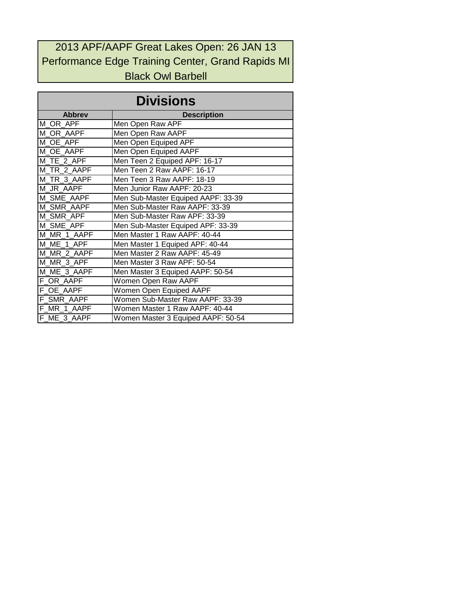## 2013 APF/AAPF Great Lakes Open: 26 JAN 13 Performance Edge Training Center, Grand Rapids MI Black Owl Barbell

| <b>Divisions</b> |                                    |  |  |  |  |  |  |  |  |  |  |
|------------------|------------------------------------|--|--|--|--|--|--|--|--|--|--|
| <b>Abbrey</b>    | <b>Description</b>                 |  |  |  |  |  |  |  |  |  |  |
| M OR APF         | Men Open Raw APF                   |  |  |  |  |  |  |  |  |  |  |
| M OR AAPF        | Men Open Raw AAPF                  |  |  |  |  |  |  |  |  |  |  |
| M OE APF         | Men Open Equiped APF               |  |  |  |  |  |  |  |  |  |  |
| M OE AAPF        | Men Open Equiped AAPF              |  |  |  |  |  |  |  |  |  |  |
| M TE 2 APF       | Men Teen 2 Equiped APF: 16-17      |  |  |  |  |  |  |  |  |  |  |
| M TR 2 AAPF      | Men Teen 2 Raw AAPF: 16-17         |  |  |  |  |  |  |  |  |  |  |
| M TR 3 AAPF      | Men Teen 3 Raw AAPF: 18-19         |  |  |  |  |  |  |  |  |  |  |
| M JR AAPF        | Men Junior Raw AAPF: 20-23         |  |  |  |  |  |  |  |  |  |  |
| M SME AAPF       | Men Sub-Master Equiped AAPF: 33-39 |  |  |  |  |  |  |  |  |  |  |
| M SMR AAPF       | Men Sub-Master Raw AAPF: 33-39     |  |  |  |  |  |  |  |  |  |  |
| M SMR APF        | Men Sub-Master Raw APF: 33-39      |  |  |  |  |  |  |  |  |  |  |
| M SME APF        | Men Sub-Master Equiped APF: 33-39  |  |  |  |  |  |  |  |  |  |  |
| M MR 1 AAPF      | Men Master 1 Raw AAPF: 40-44       |  |  |  |  |  |  |  |  |  |  |
| M ME 1 APF       | Men Master 1 Equiped APF: 40-44    |  |  |  |  |  |  |  |  |  |  |
| M MR 2 AAPF      | Men Master 2 Raw AAPF: 45-49       |  |  |  |  |  |  |  |  |  |  |
| M_MR_3_APF       | Men Master 3 Raw APF: 50-54        |  |  |  |  |  |  |  |  |  |  |
| M ME 3 AAPF      | Men Master 3 Equiped AAPF: 50-54   |  |  |  |  |  |  |  |  |  |  |
| F_OR_AAPF        | Women Open Raw AAPF                |  |  |  |  |  |  |  |  |  |  |
| F_OE_AAPF        | Women Open Equiped AAPF            |  |  |  |  |  |  |  |  |  |  |
| F_SMR_AAPF       | Women Sub-Master Raw AAPF: 33-39   |  |  |  |  |  |  |  |  |  |  |
| F MR 1 AAPF      | Women Master 1 Raw AAPF: 40-44     |  |  |  |  |  |  |  |  |  |  |
| F ME 3 AAPF      | Women Master 3 Equiped AAPF: 50-54 |  |  |  |  |  |  |  |  |  |  |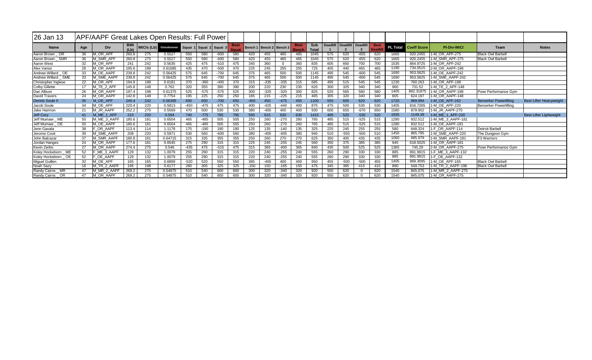| <b>26 Jan 13</b>          | <b>APF/AAPF Great Lakes Open Results: Full Power</b> |                   |                    |     |                         |        |                         |        |                      |        |                             |          |                      |              |     |                            |          |                               |                 |                    |                    |                               |                                |
|---------------------------|------------------------------------------------------|-------------------|--------------------|-----|-------------------------|--------|-------------------------|--------|----------------------|--------|-----------------------------|----------|----------------------|--------------|-----|----------------------------|----------|-------------------------------|-----------------|--------------------|--------------------|-------------------------------|--------------------------------|
| <b>Name</b>               | Age                                                  | <b>Div</b>        | <b>BWt</b><br>(Lb) |     | WtCls (Lb) Glossbrenner |        | Squat 1 Squat 2 Squat 3 |        | <b>Best</b><br>Souat |        | Bench 1   Bench 2   Bench 3 |          | <b>Best</b><br>Bench | Sub<br>Total |     | Deadlift Deadlift Deadlift |          | <b>Best</b><br><b>Deadlif</b> | <b>PL Total</b> | <b>Coeff Score</b> | <b>PI-Div-WtCl</b> | Team                          | <b>Notes</b>                   |
| Aaron Brown OR            | 36                                                   | <b>MORAPF</b>     | 260.8              | 275 | 0.5527                  | 550    | 580                     | $-600$ | 580                  | 420    | 455                         | 465      | 465                  | 1045         | 575 | 620                        | $-655$   | 620                           | 1665            | 920.2455           | 1-M OR APF-275     | <b>Black Owl Barbell</b>      |                                |
| <b>SMR</b><br>Aaron Brown | 36                                                   | <b>1 SMR APF</b>  | 260.8              | 275 | 0.5527                  | 550    | 580                     | $-600$ | 580                  | 420    | 455                         | 465      | 465                  | 1045         | 575 | 620                        | -655     | 620                           | 1665            | 920.2455           | 1-M SMR APF-275    | <b>Black Owl Barbell</b>      |                                |
| Aaron West                | 32                                                   | <b>1 OR APF</b>   | 241                | 242 | 0.5635                  | 425    | 475                     | $-510$ | 475                  | 340    | 360                         | $\Omega$ | 360                  | 835          | 605 | 660                        | 700      | 700                           | 1535            | 864.9725           | 1-M OR APF-242     |                               |                                |
| Alex Vanos                | 28                                                   | <b>MOR AAPF</b>   | 195.6              | 198 | 0.61685                 | 435    | 470                     | $-500$ | 470                  | 225    | 245                         | 255      | 255                  | 725          | 405 | 440                        | 465      | 465                           | 1190            | 734.0515           | 2-M OR AAPF-198    |                               |                                |
| Andrew Willard OE         | 33                                                   | M OE AAPF         | 239.8              | 242 | 0.56425                 | 575    | 645                     | $-700$ | 645                  | 375    | 465                         | 500      | 500                  | 1145         | 495 | 545                        | -600     | 545                           | 1690            | 953.5825           | 1-M OE AAPF-242    |                               |                                |
| Andrew Willard SME        | 33                                                   | M SME AAPF        | 239.8              | 242 | 0.56425                 | 575    | 645                     | $-700$ | 645                  | 375    | 465                         | 500      | 500                  | 1145         | 495 | 545                        | $-600$   | 545                           | 1690            | 953.5825           | 1-M SME AAPF-242   |                               |                                |
| Christopher Inglese       | 22                                                   | M OR APF          | 194.8              | 198 | 0.618'                  | 370    | $-390$                  | $-400$ | 370                  | 315    | $-335$                      | $-335$   | 315                  | 685          | 495 | 515                        | 545      | 545                           | 1230            | 760.263            | 1-M OR APF-198     |                               |                                |
| <b>Colby Gillette</b>     | 17                                                   | M TE 2 APF        | 145.8              | 148 | 0.762                   | 320    | 355                     | 390    | 390                  | 200    | 220                         | 230      | 230                  | 620          | 300 | 325                        | 340      | 340                           | 960             | 731.52             | 1-M TE 2 APF-148   |                               |                                |
| Dan Allison               | 26                                                   | M OR AAPF         | 197.4              | 198 | 0.61375                 | 525    | $-575$                  | $-575$ | 525                  | 300    | $-320$                      | $-320$   | 300                  | 825          | 525 | 565                        | 580      | 580                           | 1405            | 862.31875          | 1-M OR AAPF-198    | Powr Performance Gym          |                                |
| <b>David Travers</b>      | 24                                                   | M OR AAPF         | 142.8              | 148 | 0.7754                  | 195    | 225                     | 250    | 250                  | 185    | 215                         | $-225$   | 215                  | 465          | 305 | 320                        | 340      | 340                           | 805             | 624.197            | 1-M OR AAPF-148    |                               |                                |
| <b>Dennis Soule II</b>    | 35 <sup>5</sup>                                      | M OE APF          | 240.4              | 242 | 0.56395                 | 600    | 650                     | $-700$ | 650                  | $-450$ | 450                         | $-475$   | 450                  | 1100         | 550 | 600                        | 620      | 620                           | 1720            | 969.994            | 1-M OE APF-242     | <b>Berserker Powerlifting</b> | <b>Best Lifter Heavyweight</b> |
| Jacob Soule               | 34                                                   | A OE APF          | 220.4              | 220 | 0.5813                  | $-450$ | $-475$                  | 475    | 475                  | 400    | -425                        | $-440$   | 400                  | 875          | 475 | 500                        | 530      | 530                           | 1405            | 816.7265           | 1-M OE APF-220     | Berserker Powerlifting        |                                |
| Jake Harmon               | 21                                                   | M JR AAPF         | 252.2              | 275 | 0.5569                  | 470    | 500                     | 530    | 530                  | 380    | $-400$                      | 400      | 400                  | 930          | 600 | 650                        | $-670$   | 650                           | 1580            | 879.902            | 1-M JR AAPF-275    |                               |                                |
| Jeff Cory                 | 41                                                   | M ME 1 APF        | 210                | 220 | 0.594                   | 740    | $-775$                  | 785    | 785                  | 595    | 615                         | 630      | 630                  | 1415         | 495 | 520                        | $-530$   | 520                           | 1935            | 1149.39            | 1-M ME 1 APF-220   |                               | <b>Best Lifter Lightweight</b> |
| Jeff Mumaw ME             |                                                      | M ME 3 AAPF       | 180.6              | 181 | 0.6504                  | 465    | $-485$                  | 505    | 505                  | 250    | 260                         | $-270$   | 260                  | 765          | 485 | 515                        | -525     | 515                           | 1280            | 832.512            | 1-M ME 3 AAPF-181  |                               |                                |
| Jeff Mumaw OE             |                                                      | M OE AAPF         | 180.6              | 181 | 0.6504                  | 465    | $-485$                  | 505    | 505                  | 250    | 260                         | $-270$   | 260                  | 765          | 485 | 515                        | -525     | 515                           | 1280            | 832.512            | 1-M OE AAPF-181    |                               |                                |
| Jenn Gavala               | 38                                                   | OR AAPF           | 113.4              | 114 | 1.1178                  | 175    | $-190$                  | 190    | 190                  | 125    | 135                         | $-140$   | 135                  | 325          | 225 | 245                        | 255      | 255                           | 580             | 648.324            | 1-F OR AAPF-114    | Detroit Barbell               |                                |
| Jerome Cook               | 39                                                   | 1 SME AAPF        | 208                | 220 | 0.597                   | 530    | 560                     | $-600$ | 560                  | 380    | -405                        | $-405$   | 380                  | 940          | 510 | $-550$                     | $-550$   | 510                           | 1450            | 865.795            | 1-M SME AAPF-220   | The Dungeon Gym               |                                |
| John Balcazar             | 37                                                   | <b>A SMR AAPF</b> | 180.8              | 181 | 0.64715                 | 315    | 335                     | 355    | 355                  | 250    | 260                         | 270      | 270                  | 625          | 350 | 400                        | 435      | 435                           | 1060            | 685.979            | 1-M SMR AAPF-181   | <b>F3 Warriors</b>            |                                |
| Jordan Hanges             | 24                                                   | M OR AAPF         | 177.6              | 181 | 0.6545                  | 275    | 290                     | 315    | 315                  | 225    | 245                         | $-255$   | 245                  | 560          | 350 | 375                        | 385      | 385                           | 945             | 618.5025           | 1-M OR AAPF-181    |                               |                                |
| Kevin Zerbo               | 27                                                   | M OR AAPF         | 274.4              | 275 | 0.546                   | $-435$ | 475                     | $-515$ | 475                  | 315    | 365                         | $-400$   | 365                  | 840          | 435 | 500                        | 525      | 525                           | 1365            | 745.29             | 2-M OR AAPF-275    | <b>Powr Performance Gym</b>   |                                |
| ME<br>Koley Hockeborn     | 52                                                   | ME 3 AAPF         | 129                | 132 | 1.0079                  | 255    | 290                     | 315    | 315                  | 220    | 240                         | $-255$   | 240                  | 555          | 260 | 290                        | 330      | 330                           | 885             | 891.9915           | 1-F ME 3 AAPF-132  |                               |                                |
| Koley Hockeborn OE        | 52                                                   | OE AAPF           | 129                | 132 | 1.0079                  | 255    | 290                     | 315    | 315                  | 220    | 240                         | $-255$   | 240                  | 555          | 260 | 290                        | 330      | 330                           | 885             | 891.9915           | 1-F OE AAPF-132    |                               |                                |
| <b>Miquel Guillen</b>     | 32                                                   | A OE APF          | 165                | 165 | 0.6899                  | $-520$ | 520                     | 550    | 550                  | 385    | $-400$                      | 400      | 400                  | 950          | 455 | $-500$                     | $-500$   | 455                           | 1405            | 969.3095           | 1-M OE APF-165     | <b>Black Owl Barbell</b>      |                                |
| Noah Sazy                 | 16                                                   | M TR 2 AAPF       | 195                | 198 | 0.6177                  | 280    | 305                     | 325    | 325                  | $-150$ | 150                         | $-165$   | 150                  | 475          | 345 | 385                        | 415      | 415                           | 890             | 549.753            | 1-M TR 2 AAPF-198  | <b>Black Owl Barbell</b>      |                                |
| Randy Cairns MR           | 47                                                   | M MR 2 AAPF       | 269.2              | 275 | 0.54875                 | 510    | 540                     | 600    | 600                  | 300    | 320                         | $-340$   | 320                  | 920          | 550 | 620                        |          | 620                           | 1540            | 845.075            | 1-M MR 2 AAPF-275  |                               |                                |
| Randy Cairns OR           | 47                                                   | M OR AAPF         | 269.2              | 275 | 0.54875                 | 510    | 540                     | 600    | 600                  | 300    | 320                         | $-340$   | 320                  | 920          | 550 | 620                        | $\Omega$ | 620                           | 1540            | 845.075            | 1-M OR AAPF-275    |                               |                                |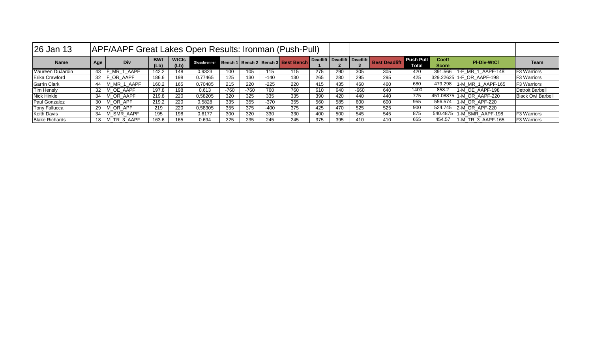| 26 Jan 13             | APF/AAPF Great Lakes Open Results: Ironman (Push-Pull) |             |                    |                      |              |        |        |        |                                          |     |     |                            |                      |                                  |                              |                           |                          |
|-----------------------|--------------------------------------------------------|-------------|--------------------|----------------------|--------------|--------|--------|--------|------------------------------------------|-----|-----|----------------------------|----------------------|----------------------------------|------------------------------|---------------------------|--------------------------|
| <b>Name</b>           | Age                                                    | Div         | <b>BWt</b><br>(Lb) | <b>WtCls</b><br>(Lb) | Glossbrenner |        |        |        | Bench 1   Bench 2   Bench 3   Best Bench |     |     | Deadlift Deadlift Deadlift | <b>Best Deadlift</b> | <b>Push Pull</b><br><b>Total</b> | <b>Coeff</b><br><b>Score</b> | <b>PI-Div-WtCl</b>        | <b>Team</b>              |
| Maureen DuJardin      | 43                                                     | MR 1 AAPF   | 142.2              | 148                  | 0.9323       | 100    | 105    | 115    | 115                                      | 275 | 290 | 305                        | 305                  | 420                              | 391.566                      | I-F MR 1 AAPF-148         | <b>F3 Warriors</b>       |
| Erika Crawford        | 32                                                     | F OR AAPF   | 186.6              | 198                  | 0.77465      | 125    | 130    | $-140$ | 130                                      | 265 | 280 | 295                        | 295                  | 425                              |                              | 329.22625 1-F OR AAPF-198 | <b>F3 Warriors</b>       |
| <b>Garrin Clark</b>   | 44                                                     | M_MR_1_AAPF | 160.2              | 165                  | 0.70485      | 215    | 220    | $-225$ | 220                                      | 415 | 435 | 460                        | 460                  | 680                              | 479.298                      | 1-M MR 1 AAPF-165         | <b>F3 Warriors</b>       |
| <b>Tim Hensly</b>     | 32                                                     | IM OE AAPF  | 197.8              | 198                  | 0.613        | $-760$ | $-760$ | 760    | 760                                      | 610 | 640 | $-660$                     | 640                  | 1400                             | 858.2                        | 11-M OE AAPF-198          | Detroit Barbell          |
| Nick Hinkle           | 34                                                     | M OR AAPF   | 219.8              | 220                  | 0.58205      | 320    | 325    | 335    | 335                                      | 390 | 420 | 440                        | 440                  | 775                              |                              | 451.08875 1-M OR AAPF-220 | <b>Black Owl Barbell</b> |
| Paul Gonzalez         | 30                                                     | M OR APF    | 219.2              | 220                  | 0.5828       | 335    | 355    | $-370$ | 355                                      | 560 | 585 | 600                        | 600                  | 955                              | 556.574                      | $1- M$ OR APF-220         |                          |
| <b>Tony Fallucca</b>  | 29                                                     | M OR APF    | 219                | 220                  | 0.58305      | 355    | 375    | $-400$ | 375                                      | 425 | 470 | 525                        | 525                  | 900                              |                              | 524.745 2-M OR APF-220    |                          |
| <b>Keith Davis</b>    | 34                                                     | M SMR AAPF  | 195                | 198                  | 0.6177       | 300    | 320    | 330    | 330                                      | 400 | 500 | 545                        | 545                  | 875                              |                              | 540.4875 1-M SMR AAPF-198 | <b>F3 Warriors</b>       |
| <b>Blake Richards</b> | 18                                                     | M TR 3 AAPF | 163.6              | 165                  | 0.694        | 225    | 235    | 245    | 245                                      | 375 | 395 | 410                        | 410                  | 655                              | 454.57                       | 11-M TR 3 AAPF-165        | <b>F3 Warriors</b>       |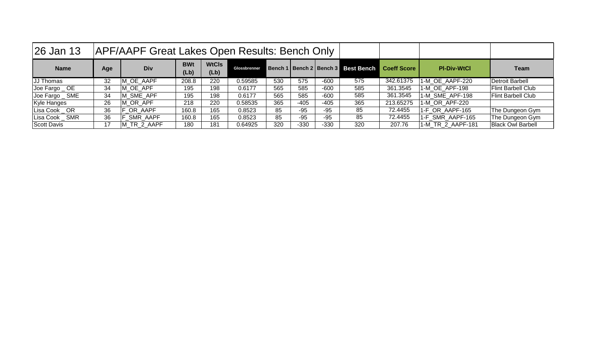| $ 26 \text{ Jan } 13 $ |     | APF/AAPF Great Lakes Open Results: Bench Only |                    |                      |              |     |        |        |                                          |                    |                    |                           |
|------------------------|-----|-----------------------------------------------|--------------------|----------------------|--------------|-----|--------|--------|------------------------------------------|--------------------|--------------------|---------------------------|
| <b>Name</b>            | Age | <b>Div</b>                                    | <b>BWt</b><br>(Lb) | <b>WtCls</b><br>(Lb) | Glossbrenner |     |        |        | Bench 1   Bench 2   Bench 3   Best Bench | <b>Coeff Score</b> | <b>PI-Div-WtCl</b> | <b>Team</b>               |
| JJ Thomas              | 32  | M OE AAPF                                     | 208.8              | 220                  | 0.59585      | 530 | 575    | $-600$ | 575                                      | 342.61375          | 1-M OE AAPF-220    | Detroit Barbell           |
| Joe Fargo _ OE         | 34  | M OE APF                                      | 195                | 198                  | 0.6177       | 565 | 585    | $-600$ | 585                                      | 361.3545           | 1-M OE APF-198     | <b>Flint Barbell Club</b> |
| Joe Fargo _ SME        | 34  | M SME APF                                     | 195                | 198                  | 0.6177       | 565 | 585    | $-600$ | 585                                      | 361.3545           | 1-M SME APF-198    | <b>Flint Barbell Club</b> |
| Kyle Hanges            | 26  | M OR APF                                      | 218                | 220                  | 0.58535      | 365 | $-405$ | $-405$ | 365                                      | 213.65275          | 1-M OR APF-220     |                           |
| Lisa Cook OR           | 36  | <b>F OR AAPF</b>                              | 160.8              | 165                  | 0.8523       | 85  | $-95$  | $-95$  | 85                                       | 72.4455            | 1-F OR AAPF-165    | The Dungeon Gym           |
| Lisa Cook _ SMR        | 36  | F SMR AAPF                                    | 160.8              | 165                  | 0.8523       | 85  | $-95$  | $-95$  | 85                                       | 72.4455            | 1-F_SMR_AAPF-165   | The Dungeon Gym           |
| Scott Davis            |     | M TR 2 AAPF                                   | 180                | 181                  | 0.64925      | 320 | $-330$ | $-330$ | 320                                      | 207.76             | 1-M TR_2_AAPF-181  | <b>Black Owl Barbell</b>  |